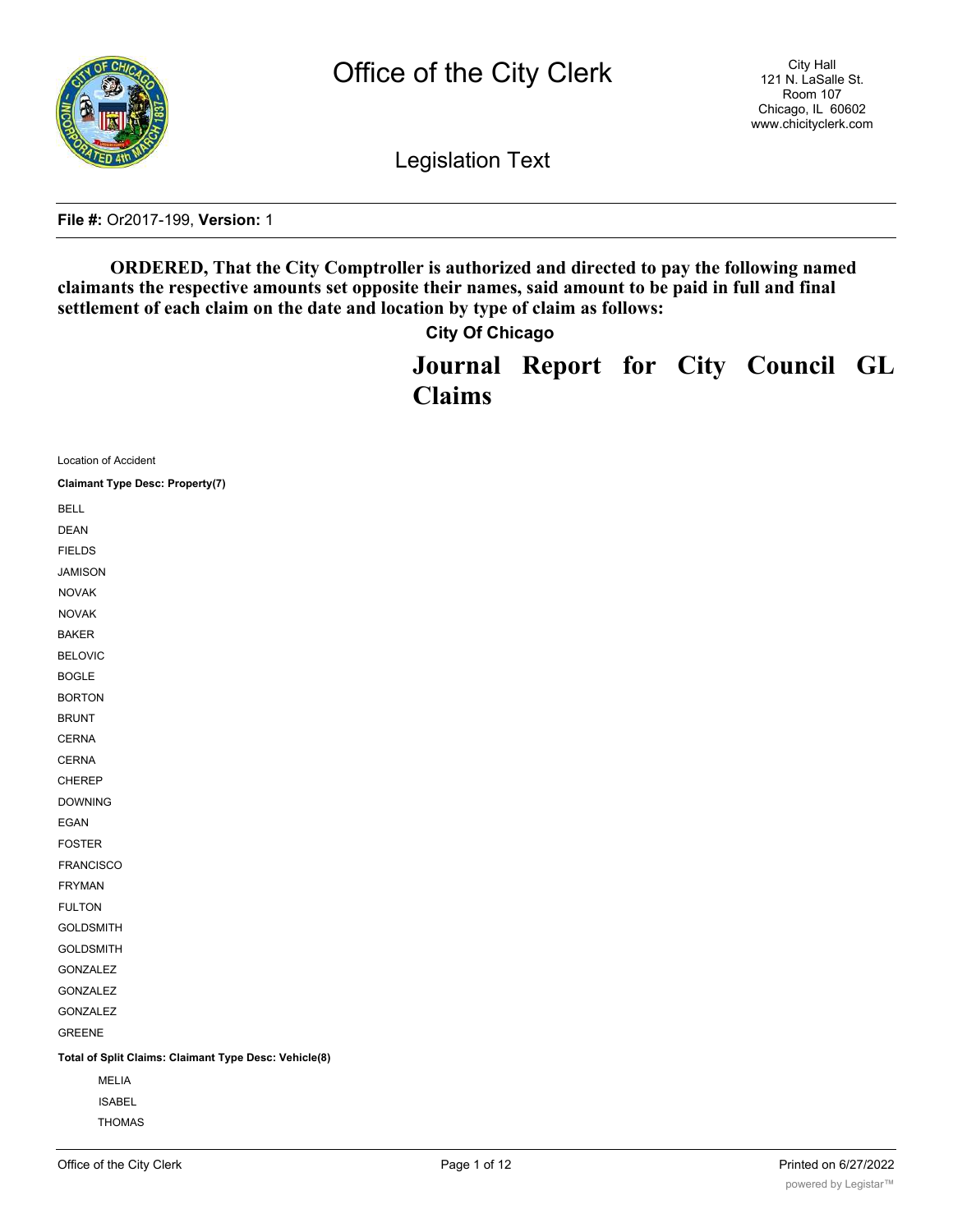

Legislation Text

**File #:** Or2017-199, **Version:** 1

**ORDERED, That the City Comptroller is authorized and directed to pay the following named claimants the respective amounts set opposite their names, said amount to be paid in full and final settlement of each claim on the date and location by type of claim as follows:**

**City Of Chicago**

**Journal Report for City Council GL Claims**

| Location of Accident                                  |  |
|-------------------------------------------------------|--|
| <b>Claimant Type Desc: Property(7)</b>                |  |
| <b>BELL</b>                                           |  |
| <b>DEAN</b>                                           |  |
| <b>FIELDS</b>                                         |  |
| <b>JAMISON</b>                                        |  |
| <b>NOVAK</b>                                          |  |
| <b>NOVAK</b>                                          |  |
| <b>BAKER</b>                                          |  |
| <b>BELOVIC</b>                                        |  |
| <b>BOGLE</b>                                          |  |
| <b>BORTON</b>                                         |  |
| <b>BRUNT</b>                                          |  |
| <b>CERNA</b>                                          |  |
| <b>CERNA</b>                                          |  |
| <b>CHEREP</b>                                         |  |
| <b>DOWNING</b>                                        |  |
| <b>EGAN</b>                                           |  |
| <b>FOSTER</b>                                         |  |
| <b>FRANCISCO</b>                                      |  |
| <b>FRYMAN</b>                                         |  |
| <b>FULTON</b>                                         |  |
| <b>GOLDSMITH</b>                                      |  |
| <b>GOLDSMITH</b>                                      |  |
| GONZALEZ                                              |  |
| GONZALEZ                                              |  |
| <b>GONZALEZ</b>                                       |  |
| <b>GREENE</b>                                         |  |
| Total of Split Claims: Claimant Type Desc: Vehicle(8) |  |
| <b>MELIA</b>                                          |  |
| <b>ISABEL</b>                                         |  |
| <b>THOMAS</b>                                         |  |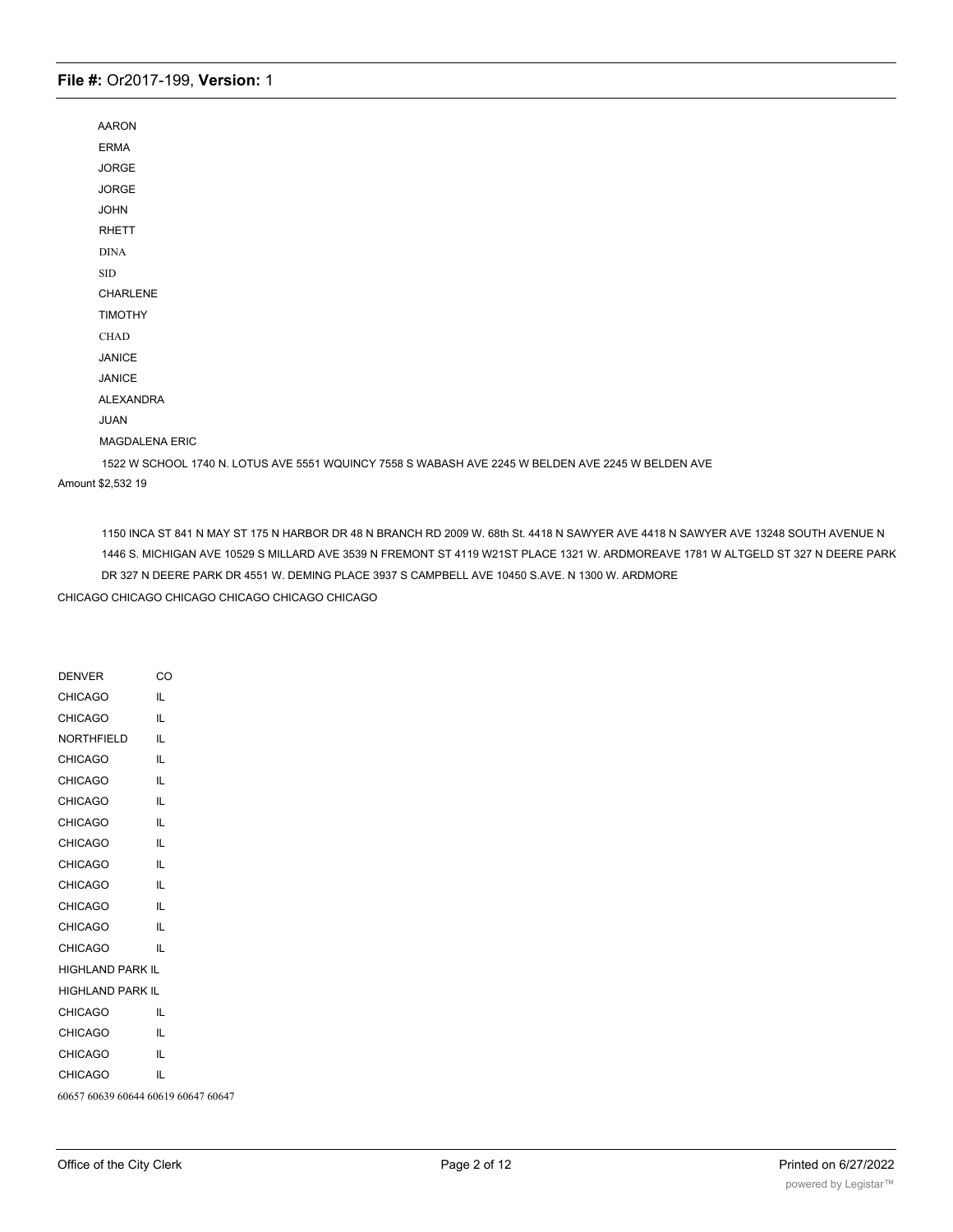| <b>AARON</b>                                                                                       |
|----------------------------------------------------------------------------------------------------|
| <b>ERMA</b>                                                                                        |
| <b>JORGE</b>                                                                                       |
| <b>JORGE</b>                                                                                       |
| <b>JOHN</b>                                                                                        |
| <b>RHETT</b>                                                                                       |
| <b>DINA</b>                                                                                        |
| $\operatorname{SID}$                                                                               |
| <b>CHARLENE</b>                                                                                    |
| <b>TIMOTHY</b>                                                                                     |
| <b>CHAD</b>                                                                                        |
| <b>JANICE</b>                                                                                      |
| <b>JANICE</b>                                                                                      |
| <b>ALEXANDRA</b>                                                                                   |
| <b>JUAN</b>                                                                                        |
| <b>MAGDALENA ERIC</b>                                                                              |
| 1522 W SCHOOL 1740 N. LOTUS AVE 5551 WQUINCY 7558 S WABASH AVE 2245 W BELDEN AVE 2245 W BELDEN AVE |
| Amount \$2,532 19                                                                                  |

1150 INCA ST 841 N MAY ST 175 N HARBOR DR 48 N BRANCH RD 2009 W. 68th St. 4418 N SAWYER AVE 4418 N SAWYER AVE 13248 SOUTH AVENUE N 1446 S. MICHIGAN AVE 10529 S MILLARD AVE 3539 N FREMONT ST 4119 W21ST PLACE 1321 W. ARDMOREAVE 1781 W ALTGELD ST 327 N DEERE PARK DR 327 N DEERE PARK DR 4551 W. DEMING PLACE 3937 S CAMPBELL AVE 10450 S.AVE. N 1300 W. ARDMORE

CHICAGO CHICAGO CHICAGO CHICAGO CHICAGO CHICAGO

| <b>DENVER</b>                       | CO |
|-------------------------------------|----|
| <b>CHICAGO</b>                      | IL |
| <b>CHICAGO</b>                      | IL |
| <b>NORTHFIELD</b>                   | IL |
| <b>CHICAGO</b>                      | IL |
| <b>CHICAGO</b>                      | IL |
| <b>CHICAGO</b>                      | IL |
| <b>CHICAGO</b>                      | IL |
| <b>CHICAGO</b>                      | IL |
| <b>CHICAGO</b>                      | IL |
| <b>CHICAGO</b>                      | IL |
| <b>CHICAGO</b>                      | IL |
| <b>CHICAGO</b>                      | IL |
| <b>CHICAGO</b>                      | IL |
| <b>HIGHLAND PARK IL</b>             |    |
| <b>HIGHLAND PARK IL</b>             |    |
| <b>CHICAGO</b>                      | IL |
| <b>CHICAGO</b>                      | IL |
| <b>CHICAGO</b>                      | IL |
| <b>CHICAGO</b>                      | IL |
| 60657 60639 60644 60619 60647 60647 |    |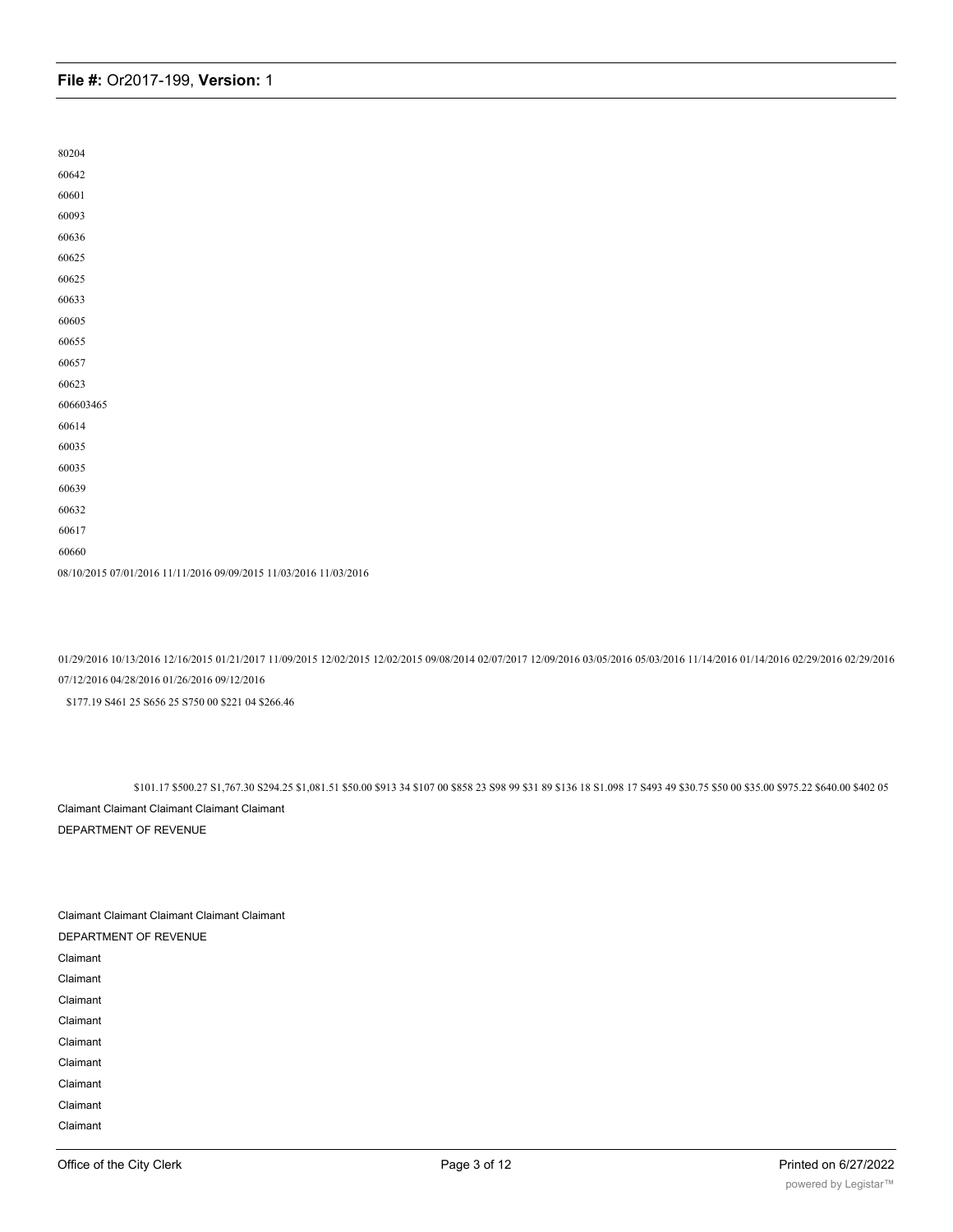| 80204                                                             |
|-------------------------------------------------------------------|
| 60642                                                             |
| 60601                                                             |
| 60093                                                             |
| 60636                                                             |
| 60625                                                             |
| 60625                                                             |
| 60633                                                             |
| 60605                                                             |
| 60655                                                             |
| 60657                                                             |
| 60623                                                             |
| 606603465                                                         |
| 60614                                                             |
| 60035                                                             |
| 60035                                                             |
| 60639                                                             |
| 60632                                                             |
| 60617                                                             |
| 60660                                                             |
| 08/10/2015 07/01/2016 11/11/2016 09/09/2015 11/03/2016 11/03/2016 |

01/29/2016 10/13/2016 12/16/2015 01/21/2017 11/09/2015 12/02/2015 12/02/2015 09/08/2014 02/07/2017 12/09/2016 03/05/2016 05/03/2016 11/14/2016 01/14/2016 02/29/2016 02/29/2016 07/12/2016 04/28/2016 01/26/2016 09/12/2016

\$177.19 S461 25 S656 25 S750 00 \$221 04 \$266.46

\$101.17 \$500.27 S1,767.30 S294.25 \$1,081.51 \$50.00 \$913 34 \$107 00 \$858 23 S98 99 \$31 89 \$136 18 S1.098 17 S493 49 \$30.75 \$50 00 \$35.00 \$975.22 \$640.00 \$402 05 Claimant Claimant Claimant Claimant Claimant DEPARTMENT OF REVENUE

| <b>Claimant Claimant Claimant Claimant Claimant</b> |  |
|-----------------------------------------------------|--|
| DEPARTMENT OF REVENUE                               |  |
| Claimant                                            |  |
| Claimant                                            |  |
| Claimant                                            |  |
| Claimant                                            |  |
| Claimant                                            |  |
| Claimant                                            |  |
| Claimant                                            |  |
| Claimant                                            |  |
| Claimant                                            |  |
|                                                     |  |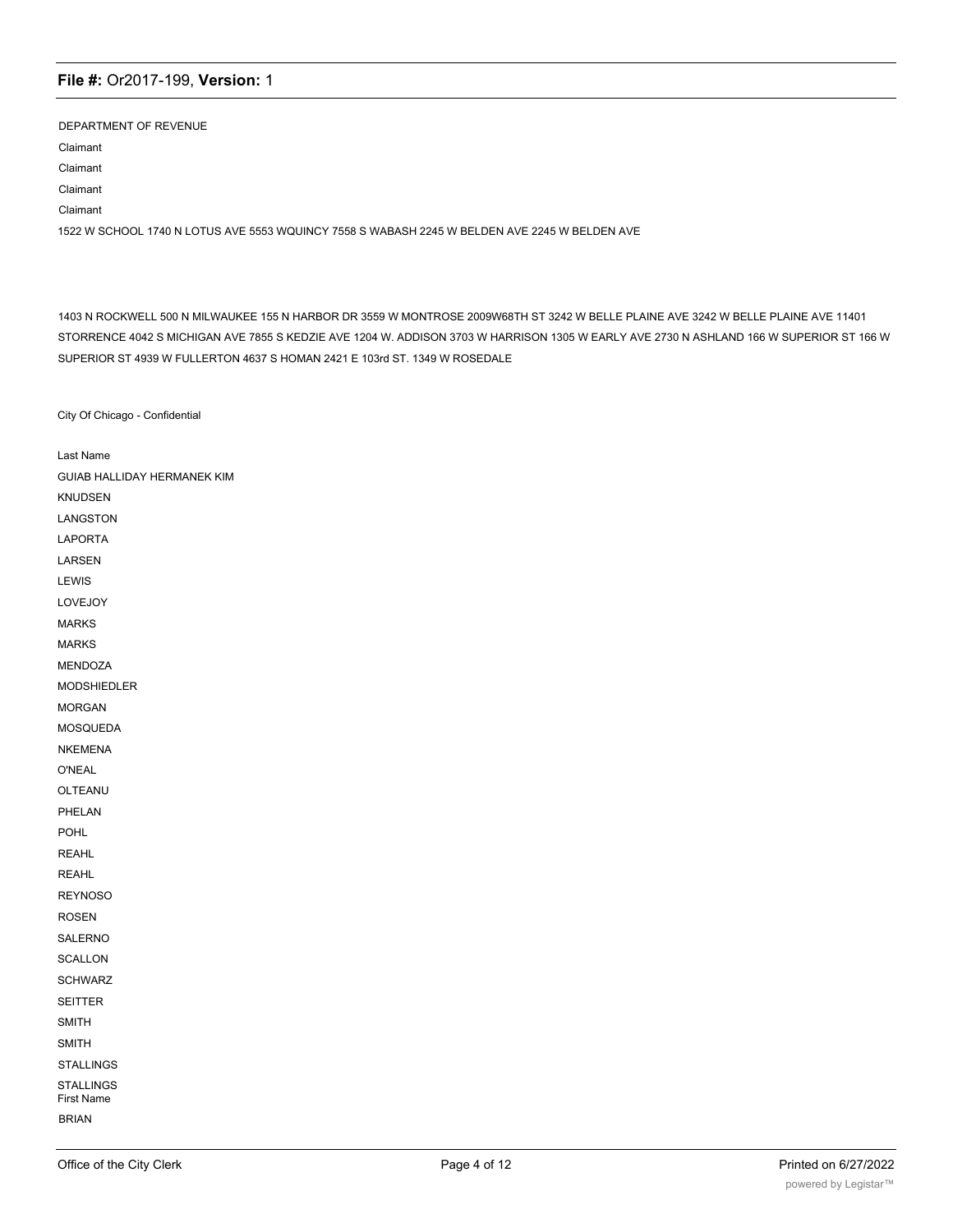DEPARTMENT OF REVENUE Claimant Claimant Claimant Claimant 1522 W SCHOOL 1740 N LOTUS AVE 5553 WQUINCY 7558 S WABASH 2245 W BELDEN AVE 2245 W BELDEN AVE

1403 N ROCKWELL 500 N MILWAUKEE 155 N HARBOR DR 3559 W MONTROSE 2009W68TH ST 3242 W BELLE PLAINE AVE 3242 W BELLE PLAINE AVE 11401 STORRENCE 4042 S MICHIGAN AVE 7855 S KEDZIE AVE 1204 W. ADDISON 3703 W HARRISON 1305 W EARLY AVE 2730 N ASHLAND 166 W SUPERIOR ST 166 W SUPERIOR ST 4939 W FULLERTON 4637 S HOMAN 2421 E 103rd ST. 1349 W ROSEDALE

City Of Chicago - Confidential

Last Name GUIAB HALLIDAY HERMANEK KIM KNUDSEN LANGSTON LAPORTA LARSEN LEWIS LOVEJOY MARKS MARKS MENDOZA MODSHIEDLER MORGAN MOSQUEDA NKEMENA O'NEAL OLTEANU PHELAN POHL REAHL REAHL REYNOSO ROSEN SALERNO **SCALLON SCHWARZ** SEITTER SMITH SMITH **STALLINGS STALLINGS** First Name BRIAN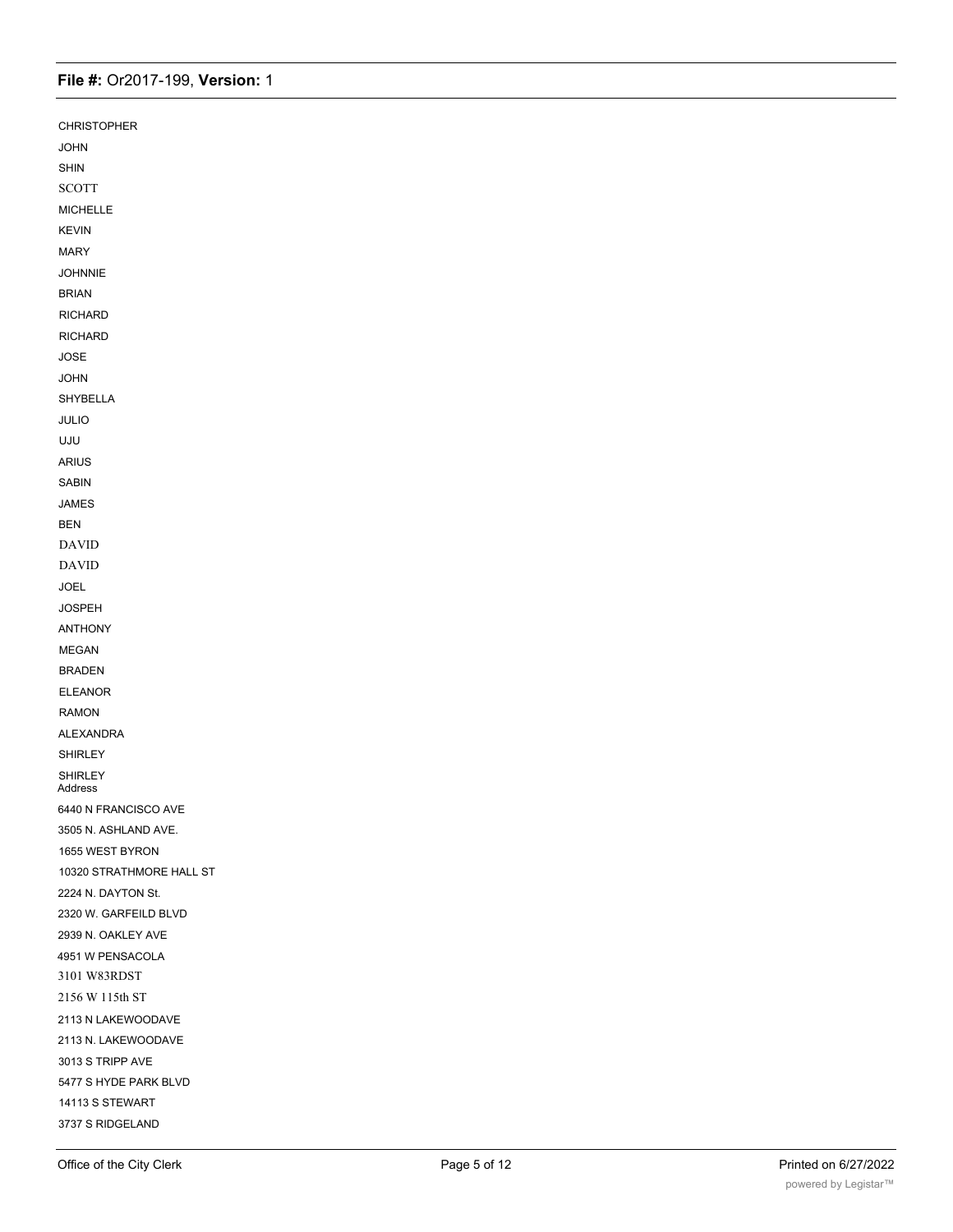| <b>CHRISTOPHER</b>        |  |
|---------------------------|--|
| <b>JOHN</b>               |  |
| SHIN                      |  |
| <b>SCOTT</b>              |  |
| MICHELLE                  |  |
| <b>KEVIN</b>              |  |
| <b>MARY</b>               |  |
| <b>JOHNNIE</b>            |  |
| <b>BRIAN</b>              |  |
| <b>RICHARD</b>            |  |
| <b>RICHARD</b>            |  |
| JOSE                      |  |
| <b>JOHN</b>               |  |
| SHYBELLA                  |  |
| JULIO                     |  |
| UJU                       |  |
| ARIUS                     |  |
| <b>SABIN</b>              |  |
| JAMES                     |  |
| <b>BEN</b>                |  |
| <b>DAVID</b>              |  |
| <b>DAVID</b>              |  |
| JOEL                      |  |
| <b>JOSPEH</b>             |  |
| ANTHONY                   |  |
| <b>MEGAN</b>              |  |
| <b>BRADEN</b>             |  |
| <b>ELEANOR</b>            |  |
| <b>RAMON</b>              |  |
| ALEXANDRA                 |  |
| SHIRLEY                   |  |
| <b>SHIRLEY</b><br>Address |  |
| 6440 N FRANCISCO AVE      |  |
| 3505 N. ASHLAND AVE.      |  |
| 1655 WEST BYRON           |  |
| 10320 STRATHMORE HALL ST  |  |
| 2224 N. DAYTON St.        |  |
| 2320 W. GARFEILD BLVD     |  |
| 2939 N. OAKLEY AVE        |  |
| 4951 W PENSACOLA          |  |
| 3101 W83RDST              |  |
| 2156 W 115th ST           |  |
| 2113 N LAKEWOODAVE        |  |
| 2113 N. LAKEWOODAVE       |  |
| 3013 S TRIPP AVE          |  |
| 5477 S HYDE PARK BLVD     |  |
| 14113 S STEWART           |  |
| 3737 S RIDGELAND          |  |

1415 W. LUNT AVE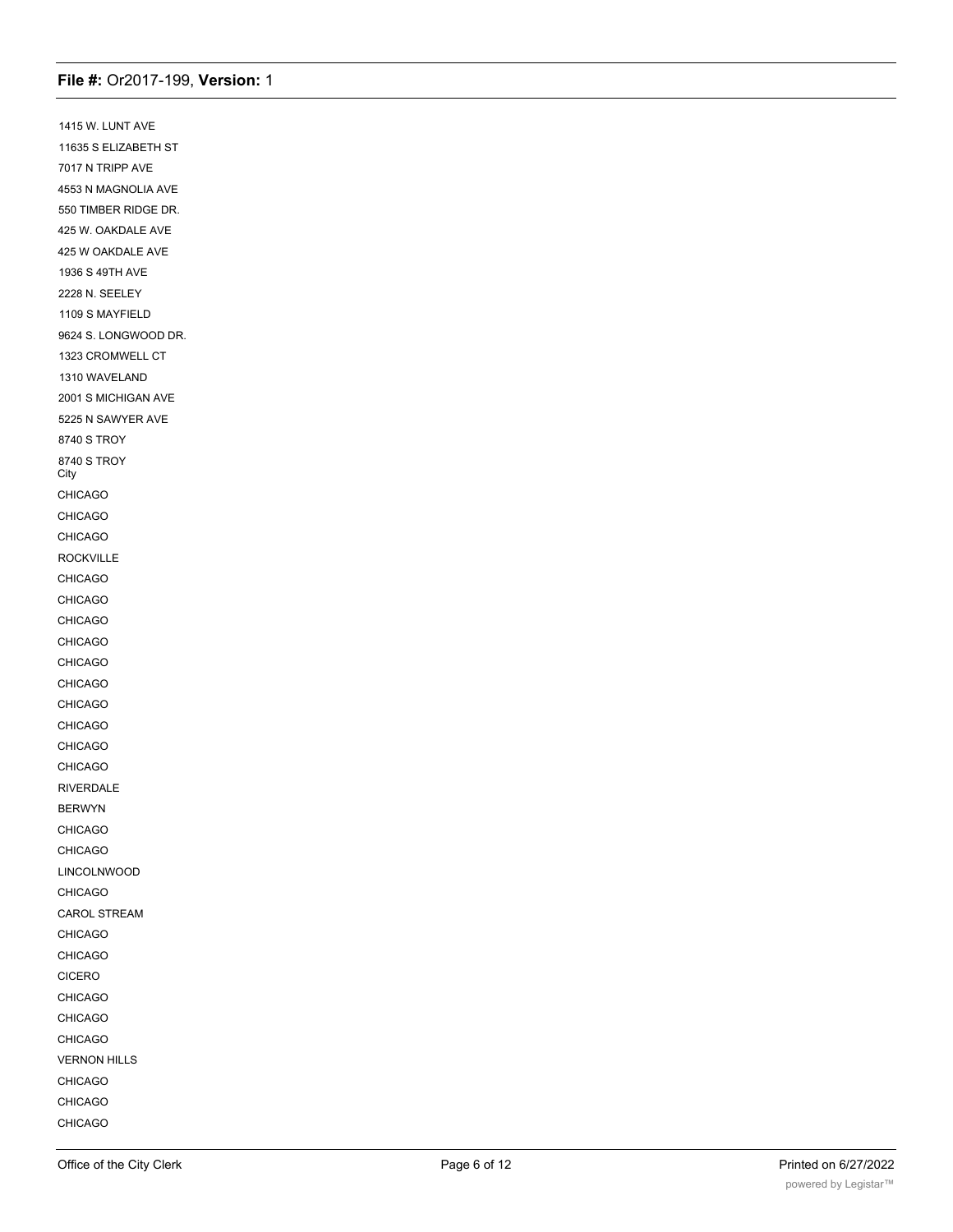1415 W. LUNT AVE 11635 S ELIZABETH ST 7017 N TRIPP AVE 4553 N MAGNOLIA AVE 550 TIMBER RIDGE DR. 425 W. OAKDALE AVE 425 W OAKDALE AVE 1936 S 49TH AVE 2228 N. SEELEY 1109 S MAYFIELD 9624 S. LONGWOOD DR. 1323 CROMWELL CT 1310 WAVELAND 2001 S MICHIGAN AVE 5225 N SAWYER AVE 8740 S TROY 8740 S TROY **City** CHICAGO CHICAGO CHICAGO ROCKVILLE CHICAGO CHICAGO CHICAGO CHICAGO CHICAGO CHICAGO CHICAGO CHICAGO CHICAGO CHICAGO RIVERDALE BERWYN CHICAGO CHICAGO LINCOLNWOOD CHICAGO CAROL STREAM CHICAGO CHICAGO CICERO CHICAGO CHICAGO CHICAGO VERNON HILLS CHICAGO CHICAGO CHICAGO

EVERGREEN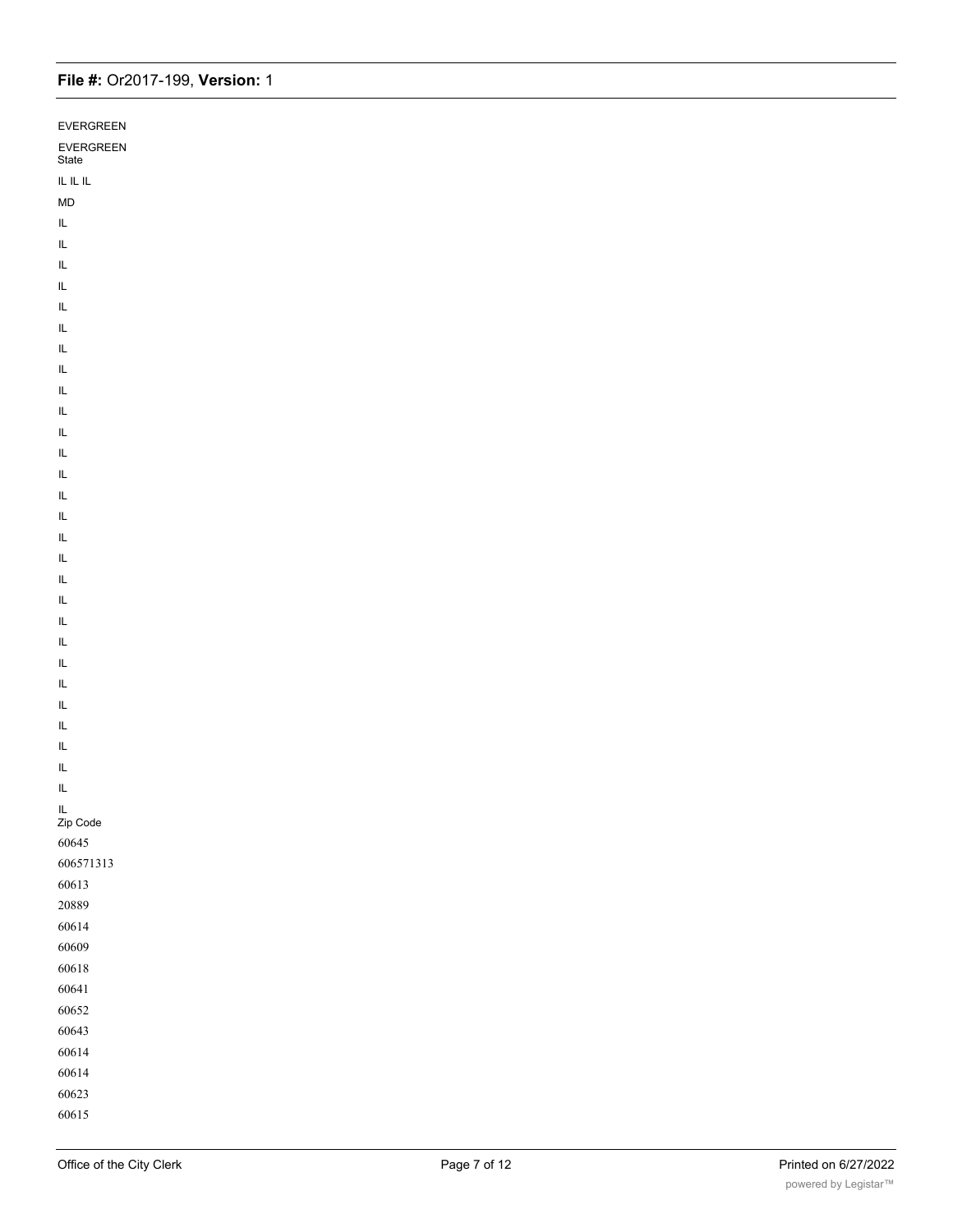| EVERGREEN          |  |
|--------------------|--|
|                    |  |
| EVERGREEN<br>State |  |
| IL IL IL           |  |
| ${\sf MD}$         |  |
| $\mathsf{IL}$      |  |
| IL.                |  |
| IL                 |  |
| IL.                |  |
| IL                 |  |
| $\mathsf{IL}$      |  |
| IL                 |  |
| IL.                |  |
| IL                 |  |
| IL                 |  |
| IL                 |  |
| IL                 |  |
| IL                 |  |
| IL                 |  |
| IL                 |  |
| IL.                |  |
| IL                 |  |
| IL                 |  |
| IL                 |  |
| IL                 |  |
| IL                 |  |
| $\mathsf{IL}$      |  |
| $\mathsf{IL}$      |  |
| $\mathsf{IL}$      |  |
| $\mathsf{IL}$      |  |
| IL                 |  |
| IL                 |  |
| $\mathsf{IL}$      |  |
| IL.<br>Zip Code    |  |
| 60645              |  |
| 606571313          |  |
| 60613              |  |
| 20889              |  |
| 60614              |  |
| 60609              |  |
| $60618\,$          |  |
| 60641              |  |
| 60652              |  |
| 60643              |  |
| 60614              |  |
| 60614              |  |
| 60623              |  |
| 60615              |  |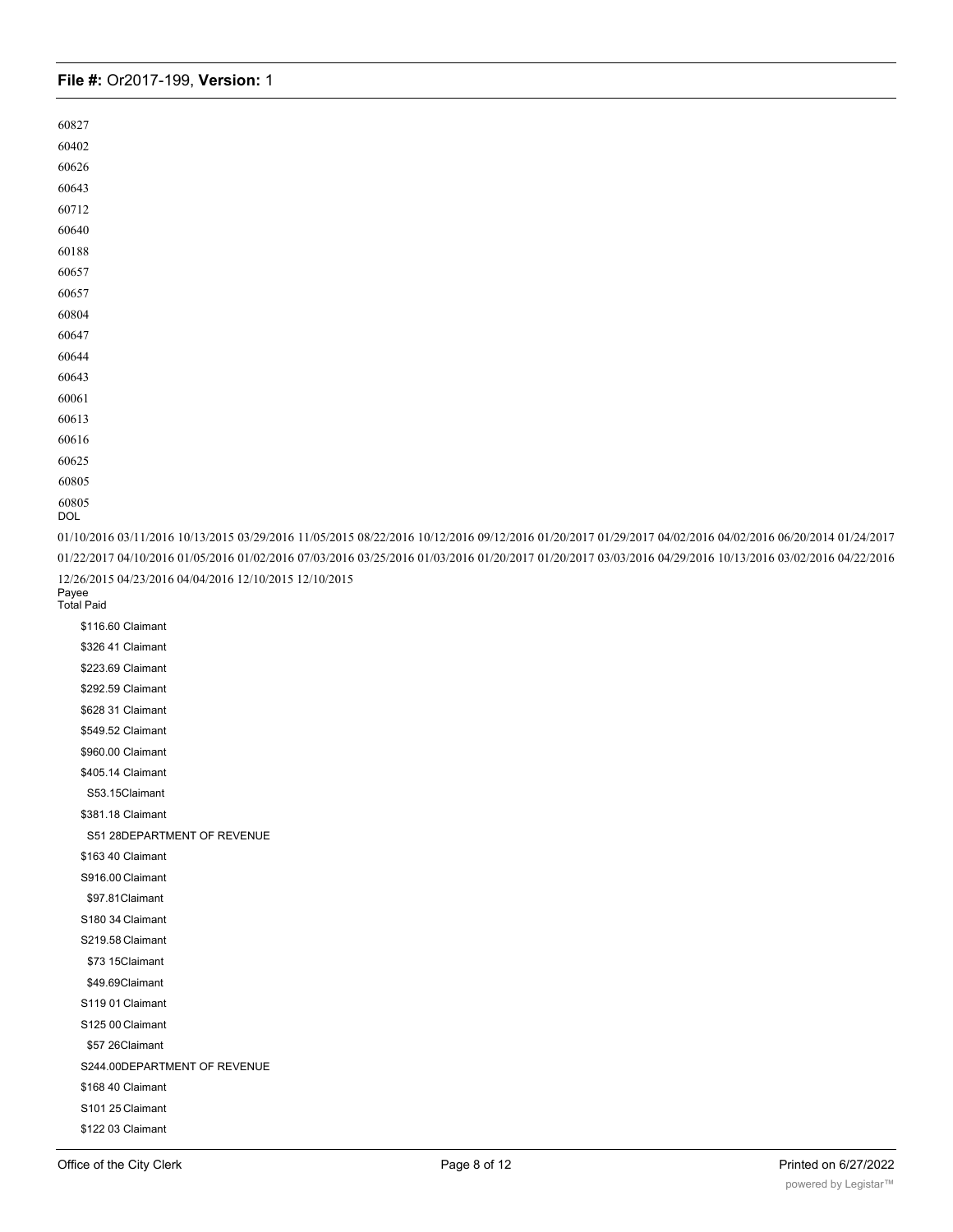DOL

01/10/2016 03/11/2016 10/13/2015 03/29/2016 11/05/2015 08/22/2016 10/12/2016 09/12/2016 01/20/2017 01/29/2017 04/02/2016 04/02/2016 06/20/2014 01/24/2017 01/22/2017 04/10/2016 01/05/2016 01/02/2016 07/03/2016 03/25/2016 01/03/2016 01/20/2017 01/20/2017 03/03/2016 04/29/2016 10/13/2016 03/02/2016 04/22/2016 12/26/2015 04/23/2016 04/04/2016 12/10/2015 12/10/2015

Payee Total Paid

> \$116.60 Claimant \$326 41 Claimant \$223.69 Claimant \$292.59 Claimant \$628 31 Claimant \$549.52 Claimant \$960.00 Claimant \$405.14 Claimant S53.15Claimant \$381.18 Claimant S51 28DEPARTMENT OF REVENUE \$163 40 Claimant S916.00 Claimant \$97.81Claimant S180 34 Claimant S219.58 Claimant \$73 15Claimant \$49.69Claimant S119 01 Claimant S125 00 Claimant \$57 26Claimant S244.00DEPARTMENT OF REVENUE \$168 40 Claimant S101 25 Claimant \$122 03 Claimant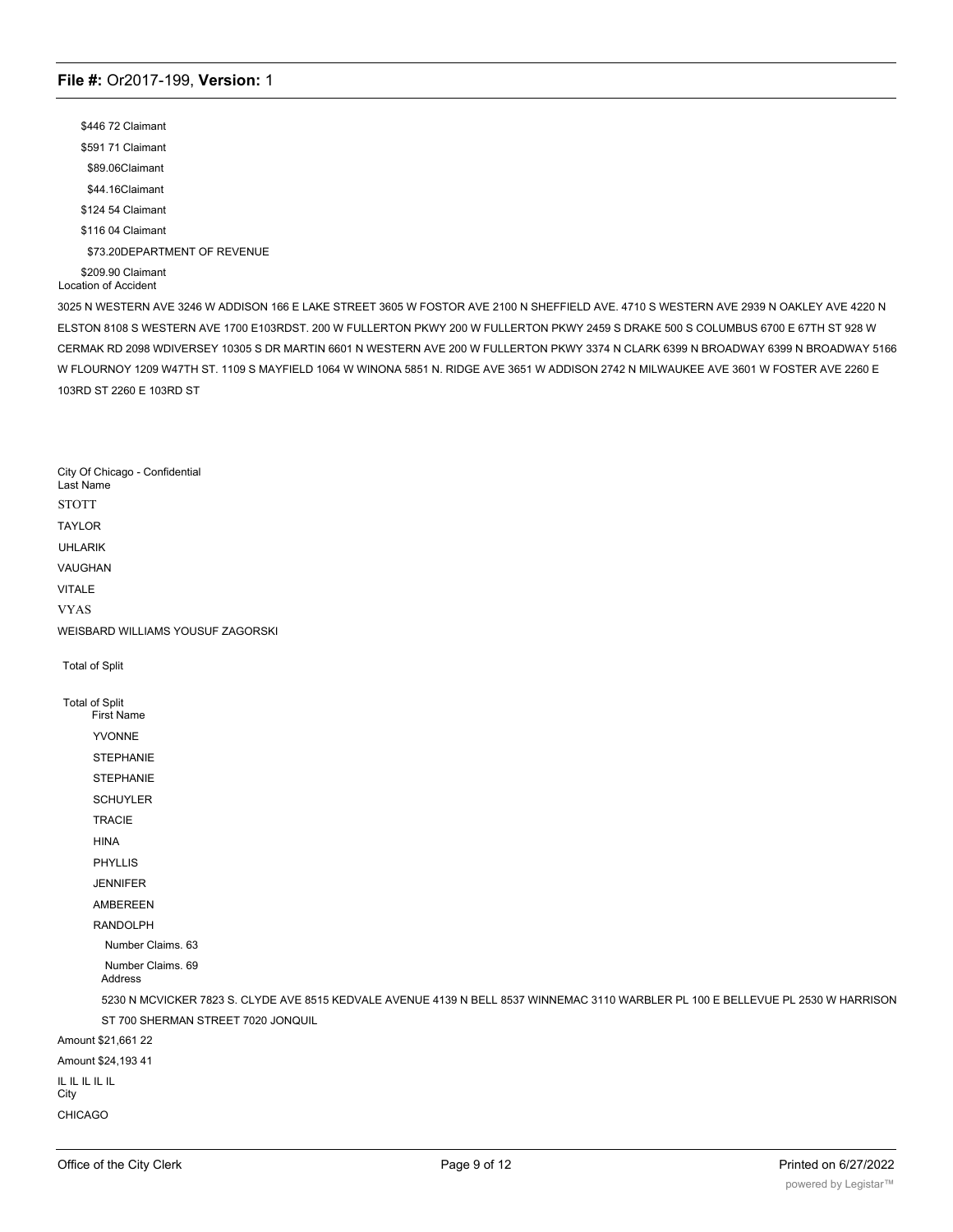\$446 72 Claimant \$591 71 Claimant \$89.06Claimant \$44.16Claimant \$124 54 Claimant \$116 04 Claimant \$73.20DEPARTMENT OF REVENUE \$209.90 Claimant Location of Accident

3025 N WESTERN AVE 3246 W ADDISON 166 E LAKE STREET 3605 W FOSTOR AVE 2100 N SHEFFIELD AVE. 4710 S WESTERN AVE 2939 N OAKLEY AVE 4220 N ELSTON 8108 S WESTERN AVE 1700 E103RDST. 200 W FULLERTON PKWY 200 W FULLERTON PKWY 2459 S DRAKE 500 S COLUMBUS 6700 E 67TH ST 928 W CERMAK RD 2098 WDIVERSEY 10305 S DR MARTIN 6601 N WESTERN AVE 200 W FULLERTON PKWY 3374 N CLARK 6399 N BROADWAY 6399 N BROADWAY 5166 W FLOURNOY 1209 W47TH ST. 1109 S MAYFIELD 1064 W WINONA 5851 N. RIDGE AVE 3651 W ADDISON 2742 N MILWAUKEE AVE 3601 W FOSTER AVE 2260 E 103RD ST 2260 E 103RD ST

City Of Chicago - Confidential Last Name **STOTT** TAYLOR UHLARIK VAUGHAN VITALE VYAS WEISBARD WILLIAMS YOUSUF ZAGORSKI Total of Split Total of Split First Name YVONNE STEPHANIE **STEPHANIE** SCHUYLER TRACIE HINA PHYLLIS JENNIFER AMBEREEN RANDOLPH Number Claims. 63 Number Claims. 69 Address 5230 N MCVICKER 7823 S. CLYDE AVE 8515 KEDVALE AVENUE 4139 N BELL 8537 WINNEMAC 3110 WARBLER PL 100 E BELLEVUE PL 2530 W HARRISON ST 700 SHERMAN STREET 7020 JONQUIL Amount \$21,661 22 Amount \$24,193 41 IL IL IL IL IL **City** CHICAGO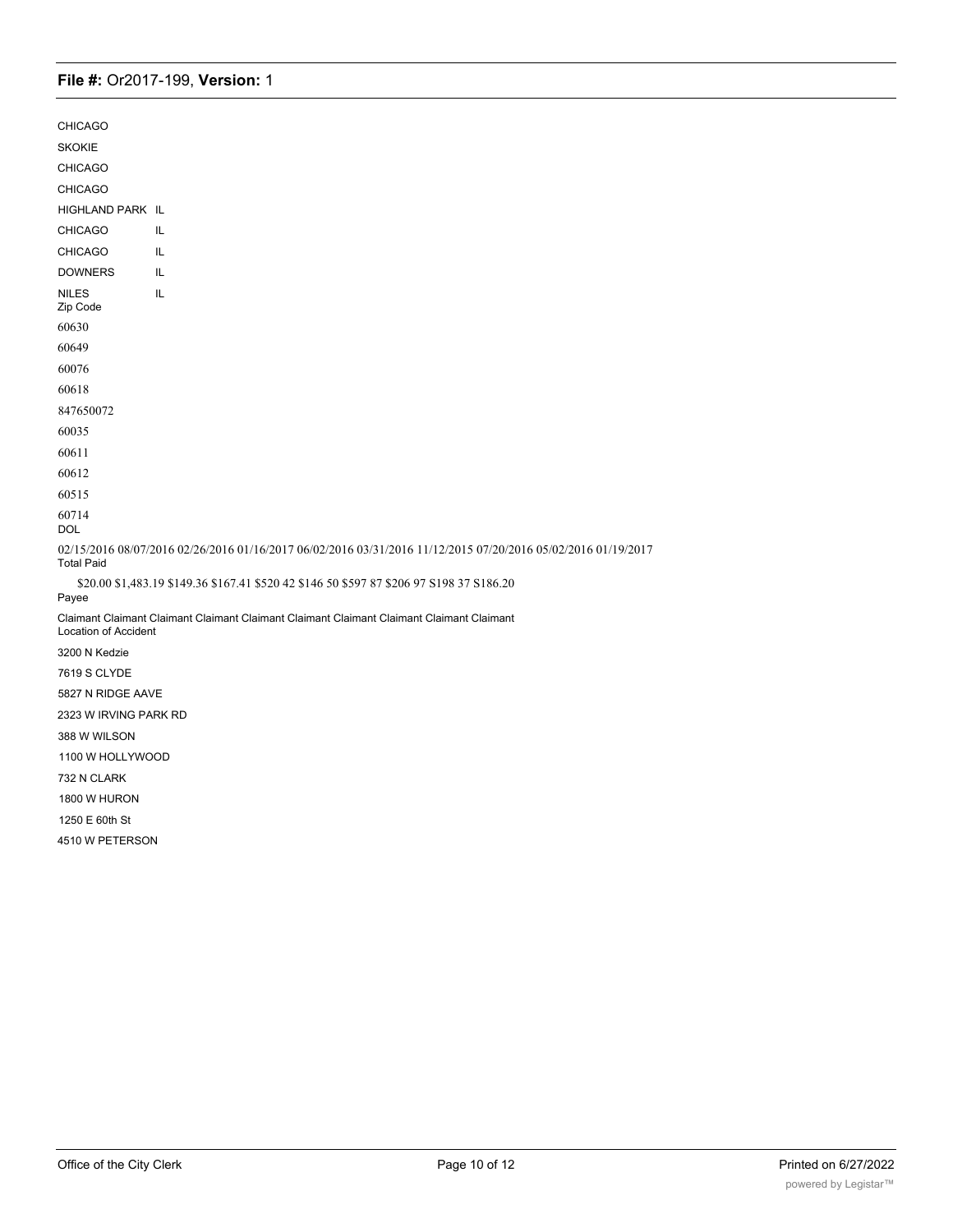| <b>CHICAGO</b>              |                                                                                                               |
|-----------------------------|---------------------------------------------------------------------------------------------------------------|
| <b>SKOKIE</b>               |                                                                                                               |
| <b>CHICAGO</b>              |                                                                                                               |
| <b>CHICAGO</b>              |                                                                                                               |
| HIGHLAND PARK IL            |                                                                                                               |
| <b>CHICAGO</b>              | IL.                                                                                                           |
| <b>CHICAGO</b>              | IL                                                                                                            |
| <b>DOWNERS</b>              | IL.                                                                                                           |
| <b>NILES</b><br>Zip Code    | IL                                                                                                            |
| 60630                       |                                                                                                               |
| 60649                       |                                                                                                               |
| 60076                       |                                                                                                               |
| 60618                       |                                                                                                               |
| 847650072                   |                                                                                                               |
| 60035                       |                                                                                                               |
| 60611                       |                                                                                                               |
| 60612                       |                                                                                                               |
| 60515                       |                                                                                                               |
| 60714<br><b>DOL</b>         |                                                                                                               |
| <b>Total Paid</b>           | 02/15/2016 08/07/2016 02/26/2016 01/16/2017 06/02/2016 03/31/2016 11/12/2015 07/20/2016 05/02/2016 01/19/2017 |
| Payee                       | \$20.00 \$1,483.19 \$149.36 \$167.41 \$520 42 \$146 50 \$597 87 \$206 97 S198 37 S186.20                      |
| <b>Location of Accident</b> | Claimant Claimant Claimant Claimant Claimant Claimant Claimant Claimant Claimant Claimant                     |
| 3200 N Kedzie               |                                                                                                               |
| 7619 S CLYDE                |                                                                                                               |
| 5827 N RIDGE AAVE           |                                                                                                               |
| 2323 W IRVING PARK RD       |                                                                                                               |
| 388 W WILSON                |                                                                                                               |
| 1100 W HOLLYWOOD            |                                                                                                               |
| 732 N CLARK                 |                                                                                                               |
| 1800 W HURON                |                                                                                                               |
| 1250 E 60th St              |                                                                                                               |

4510 W PETERSON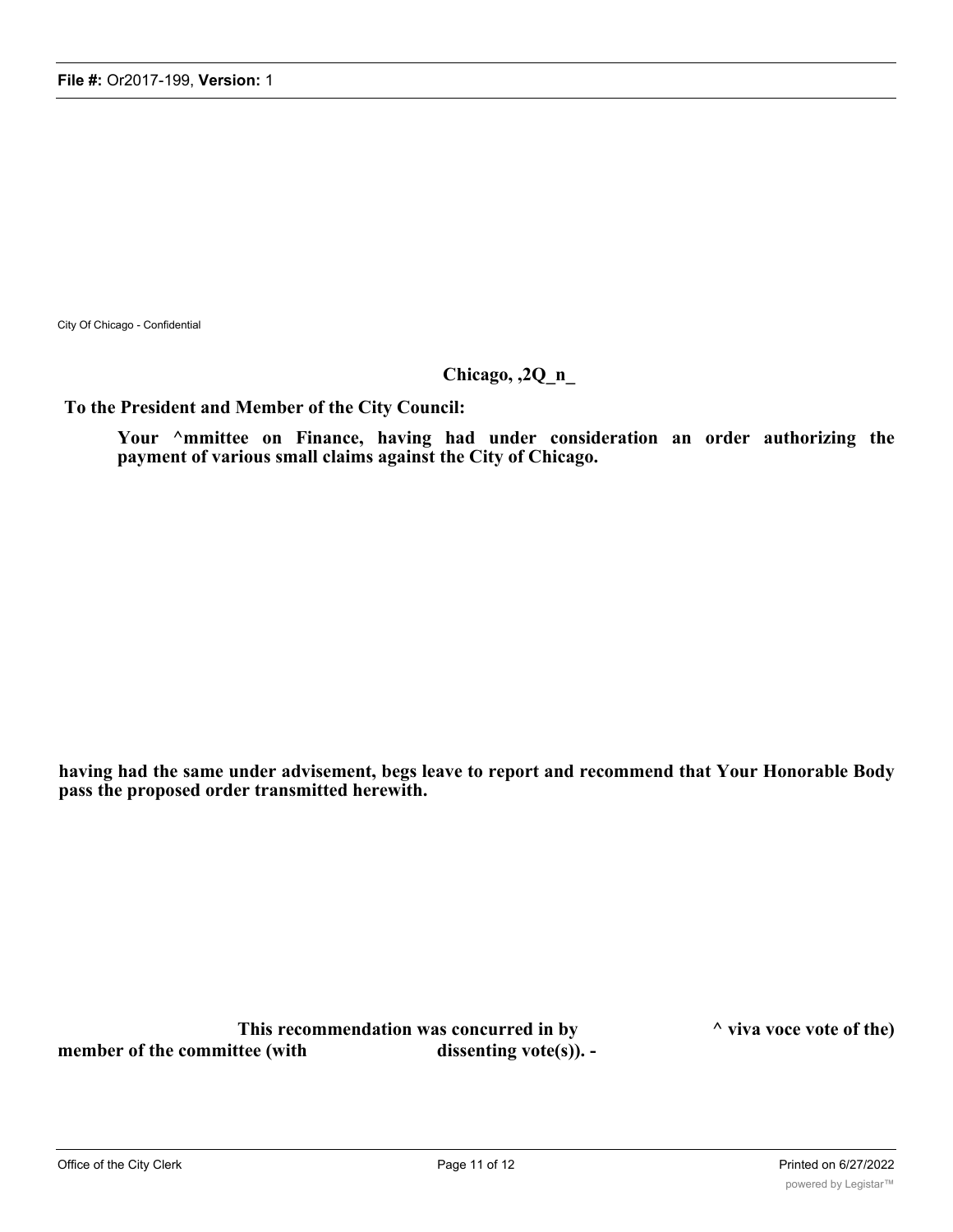City Of Chicago - Confidential

# **Chicago, ,2Q\_n\_**

**To the President and Member of the City Council:**

**Your ^mmittee on Finance, having had under consideration an order authorizing the payment of various small claims against the City of Chicago.**

**having had the same under advisement, begs leave to report and recommend that Your Honorable Body pass the proposed order transmitted herewith.**

**This recommendation was concurred in by ^ viva voce vote of the)** member of the committee (with dissenting vote(s)). -